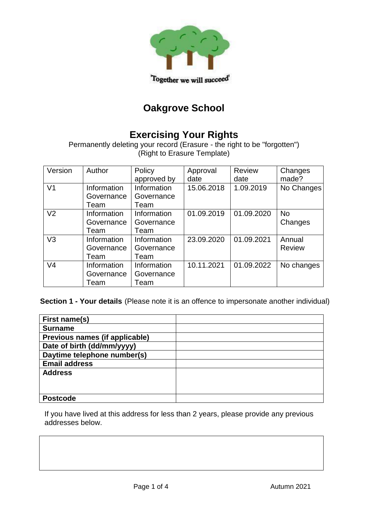

# **Oakgrove School**

# **Exercising Your Rights**

Permanently deleting your record (Erasure - the right to be "forgotten")  $\left(\mathsf{Right}\right)$  to Erasure Template)

| Version        | Author                            | Policy<br>approved by             | Approval<br>date | <b>Review</b><br>date | Changes<br>made?        |
|----------------|-----------------------------------|-----------------------------------|------------------|-----------------------|-------------------------|
| V <sub>1</sub> | Information<br>Governance<br>Team | Information<br>Governance<br>Team | 15.06.2018       | 1.09.2019             | No Changes              |
| V <sub>2</sub> | Information<br>Governance<br>Team | Information<br>Governance<br>Team | 01.09.2019       | 01.09.2020            | <b>No</b><br>Changes    |
| V <sub>3</sub> | Information<br>Governance<br>Team | Information<br>Governance<br>Team | 23.09.2020       | 01.09.2021            | Annual<br><b>Review</b> |
| V <sub>4</sub> | Information<br>Governance<br>Team | Information<br>Governance<br>Team | 10.11.2021       | 01.09.2022            | No changes              |

**Section 1 - Your details** (Please note it is an offence to impersonate another individual)

| First name(s)                  |  |
|--------------------------------|--|
| <b>Surname</b>                 |  |
| Previous names (if applicable) |  |
| Date of birth (dd/mm/yyyy)     |  |
| Daytime telephone number(s)    |  |
| <b>Email address</b>           |  |
| <b>Address</b>                 |  |
|                                |  |
|                                |  |
| <b>Postcode</b>                |  |

If you have lived at this address for less than 2 years, please provide any previous addresses below.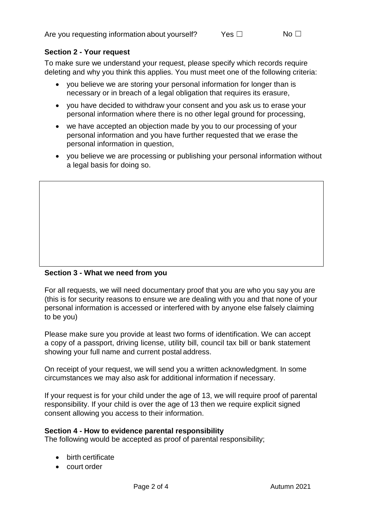### **Section 2 - Your request**

To make sure we understand your request, please specify which records require deleting and why you think this applies. You must meet one of the following criteria:

- you believe we are storing your personal information for longer than is necessary or in breach of a legal obligation that requires its erasure,
- you have decided to withdraw your consent and you ask us to erase your personal information where there is no other legal ground for processing,
- we have accepted an objection made by you to our processing of your personal information and you have further requested that we erase the personal information in question,
- you believe we are processing or publishing your personal information without a legal basis for doing so.

## **Section 3 - What we need from you**

For all requests, we will need documentary proof that you are who you say you are (this is for security reasons to ensure we are dealing with you and that none of your personal information is accessed or interfered with by anyone else falsely claiming to be you)

Please make sure you provide at least two forms of identification. We can accept a copy of a passport, driving license, utility bill, council tax bill or bank statement showing your full name and current postal address.

On receipt of your request, we will send you a written acknowledgment. In some circumstances we may also ask for additional information if necessary.

If your request is for your child under the age of 13, we will require proof of parental responsibility. If your child is over the age of 13 then we require explicit signed consent allowing you access to their information.

#### **Section 4 - How to evidence parental responsibility**

The following would be accepted as proof of parental responsibility;

- birth certificate
- court order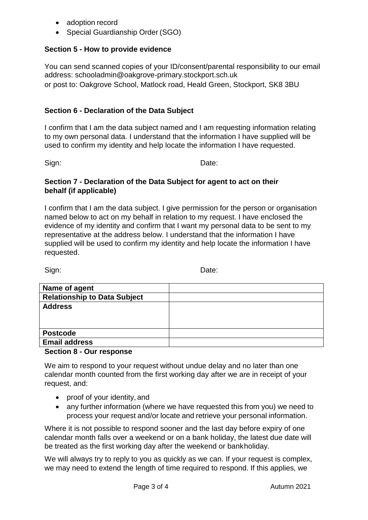- adoption record
- Special Guardianship Order (SGO)

## **Section 5 - How to provide evidence**

You can send scanned copies of your ID/consent/parental responsibility to our email address: schooladmin@oakgrove-primary.stockport.sch.uk or post to: Oakgrove School, Matlock road, Heald Green, Stockport, SK8 3BU

# **Section 6 - Declaration of the Data Subject**

I confirm that I am the data subject named and I am requesting information relating to my own personal data. I understand that the information I have supplied will be used to confirm my identity and help locate the information I have requested.

Sign: **Date:** Date:

### **Section 7 - Declaration of the Data Subject for agent to act on their behalf (if applicable)**

I confirm that I am the data subject. I give permission for the person or organisation named below to act on my behalf in relation to my request. I have enclosed the evidence of my identity and confirm that I want my personal data to be sent to my representative at the address below. I understand that the information I have supplied will be used to confirm my identity and help locate the information I have requested.

Sign: Date:

| Name of agent                       |  |
|-------------------------------------|--|
| <b>Relationship to Data Subject</b> |  |
| <b>Address</b>                      |  |
|                                     |  |
|                                     |  |
| <b>Postcode</b>                     |  |
| <b>Email address</b>                |  |

#### **Section 8 - Our response**

We aim to respond to your request without undue delay and no later than one calendar month counted from the first working day after we are in receipt of your request, and:

- proof of your identity, and
- any further information (where we have requested this from you) we need to process your request and/or locate and retrieve your personal information.

Where it is not possible to respond sooner and the last day before expiry of one calendar month falls over a weekend or on a bank holiday, the latest due date will be treated as the first working day after the weekend or bankholiday.

We will always try to reply to you as quickly as we can. If your request is complex, we may need to extend the length of time required to respond. If this applies, we